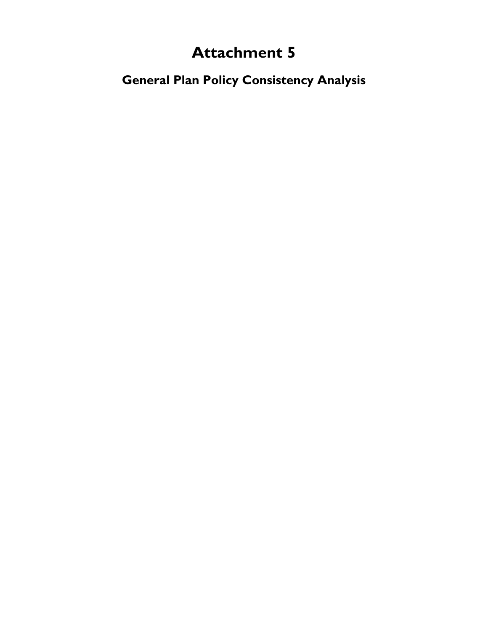## **Attachment 5**

**General Plan Policy Consistency Analysis**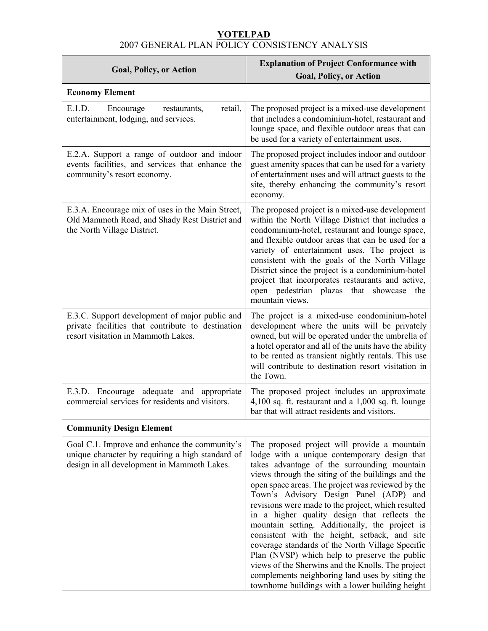## **YOTELPAD** 2007 GENERAL PLAN POLICY CONSISTENCY ANALYSIS

| <b>Goal, Policy, or Action</b>                                                                                                                   | <b>Explanation of Project Conformance with</b><br><b>Goal, Policy, or Action</b>                                                                                                                                                                                                                                                                                                                                                                                                                                                                                                                                                                                                                                                                                         |  |
|--------------------------------------------------------------------------------------------------------------------------------------------------|--------------------------------------------------------------------------------------------------------------------------------------------------------------------------------------------------------------------------------------------------------------------------------------------------------------------------------------------------------------------------------------------------------------------------------------------------------------------------------------------------------------------------------------------------------------------------------------------------------------------------------------------------------------------------------------------------------------------------------------------------------------------------|--|
| <b>Economy Element</b>                                                                                                                           |                                                                                                                                                                                                                                                                                                                                                                                                                                                                                                                                                                                                                                                                                                                                                                          |  |
| E.1.D.<br>Encourage<br>retail,<br>restaurants,<br>entertainment, lodging, and services.                                                          | The proposed project is a mixed-use development<br>that includes a condominium-hotel, restaurant and<br>lounge space, and flexible outdoor areas that can<br>be used for a variety of entertainment uses.                                                                                                                                                                                                                                                                                                                                                                                                                                                                                                                                                                |  |
| E.2.A. Support a range of outdoor and indoor<br>events facilities, and services that enhance the<br>community's resort economy.                  | The proposed project includes indoor and outdoor<br>guest amenity spaces that can be used for a variety<br>of entertainment uses and will attract guests to the<br>site, thereby enhancing the community's resort<br>economy.                                                                                                                                                                                                                                                                                                                                                                                                                                                                                                                                            |  |
| E.3.A. Encourage mix of uses in the Main Street,<br>Old Mammoth Road, and Shady Rest District and<br>the North Village District.                 | The proposed project is a mixed-use development<br>within the North Village District that includes a<br>condominium-hotel, restaurant and lounge space,<br>and flexible outdoor areas that can be used for a<br>variety of entertainment uses. The project is<br>consistent with the goals of the North Village<br>District since the project is a condominium-hotel<br>project that incorporates restaurants and active,<br>open pedestrian plazas that showcase the<br>mountain views.                                                                                                                                                                                                                                                                                 |  |
| E.3.C. Support development of major public and<br>private facilities that contribute to destination<br>resort visitation in Mammoth Lakes.       | The project is a mixed-use condominium-hotel<br>development where the units will be privately<br>owned, but will be operated under the umbrella of<br>a hotel operator and all of the units have the ability<br>to be rented as transient nightly rentals. This use<br>will contribute to destination resort visitation in<br>the Town.                                                                                                                                                                                                                                                                                                                                                                                                                                  |  |
| E.3.D. Encourage adequate and appropriate<br>commercial services for residents and visitors.                                                     | The proposed project includes an approximate<br>$4,100$ sq. ft. restaurant and a $1,000$ sq. ft. lounge<br>bar that will attract residents and visitors.                                                                                                                                                                                                                                                                                                                                                                                                                                                                                                                                                                                                                 |  |
| <b>Community Design Element</b>                                                                                                                  |                                                                                                                                                                                                                                                                                                                                                                                                                                                                                                                                                                                                                                                                                                                                                                          |  |
| Goal C.1. Improve and enhance the community's<br>unique character by requiring a high standard of<br>design in all development in Mammoth Lakes. | The proposed project will provide a mountain<br>lodge with a unique contemporary design that<br>takes advantage of the surrounding mountain<br>views through the siting of the buildings and the<br>open space areas. The project was reviewed by the<br>Town's Advisory Design Panel (ADP) and<br>revisions were made to the project, which resulted<br>in a higher quality design that reflects the<br>mountain setting. Additionally, the project is<br>consistent with the height, setback, and site<br>coverage standards of the North Village Specific<br>Plan (NVSP) which help to preserve the public<br>views of the Sherwins and the Knolls. The project<br>complements neighboring land uses by siting the<br>townhome buildings with a lower building height |  |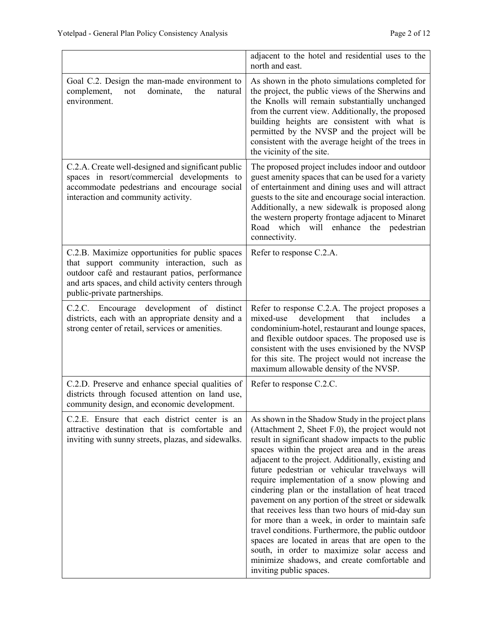|                                                                                                                                                                                                                                          | adjacent to the hotel and residential uses to the<br>north and east.                                                                                                                                                                                                                                                                                                                                                                                                                                                                                                                                                                                                                                                                                                                                                          |
|------------------------------------------------------------------------------------------------------------------------------------------------------------------------------------------------------------------------------------------|-------------------------------------------------------------------------------------------------------------------------------------------------------------------------------------------------------------------------------------------------------------------------------------------------------------------------------------------------------------------------------------------------------------------------------------------------------------------------------------------------------------------------------------------------------------------------------------------------------------------------------------------------------------------------------------------------------------------------------------------------------------------------------------------------------------------------------|
| Goal C.2. Design the man-made environment to<br>complement,<br>dominate,<br>the<br>not<br>natural<br>environment.                                                                                                                        | As shown in the photo simulations completed for<br>the project, the public views of the Sherwins and<br>the Knolls will remain substantially unchanged<br>from the current view. Additionally, the proposed<br>building heights are consistent with what is<br>permitted by the NVSP and the project will be<br>consistent with the average height of the trees in<br>the vicinity of the site.                                                                                                                                                                                                                                                                                                                                                                                                                               |
| C.2.A. Create well-designed and significant public<br>spaces in resort/commercial developments to<br>accommodate pedestrians and encourage social<br>interaction and community activity.                                                 | The proposed project includes indoor and outdoor<br>guest amenity spaces that can be used for a variety<br>of entertainment and dining uses and will attract<br>guests to the site and encourage social interaction.<br>Additionally, a new sidewalk is proposed along<br>the western property frontage adjacent to Minaret<br>which will enhance<br>the pedestrian<br>Road<br>connectivity.                                                                                                                                                                                                                                                                                                                                                                                                                                  |
| C.2.B. Maximize opportunities for public spaces<br>that support community interaction, such as<br>outdoor café and restaurant patios, performance<br>and arts spaces, and child activity centers through<br>public-private partnerships. | Refer to response C.2.A.                                                                                                                                                                                                                                                                                                                                                                                                                                                                                                                                                                                                                                                                                                                                                                                                      |
| C.2.C. Encourage development of distinct<br>districts, each with an appropriate density and a<br>strong center of retail, services or amenities.                                                                                         | Refer to response C.2.A. The project proposes a<br>development<br>mixed-use<br>that<br>includes<br>a<br>condominium-hotel, restaurant and lounge spaces,<br>and flexible outdoor spaces. The proposed use is<br>consistent with the uses envisioned by the NVSP<br>for this site. The project would not increase the<br>maximum allowable density of the NVSP.                                                                                                                                                                                                                                                                                                                                                                                                                                                                |
| C.2.D. Preserve and enhance special qualities of<br>districts through focused attention on land use,<br>community design, and economic development.                                                                                      | Refer to response C.2.C.                                                                                                                                                                                                                                                                                                                                                                                                                                                                                                                                                                                                                                                                                                                                                                                                      |
| C.2.E. Ensure that each district center is an<br>attractive destination that is comfortable and<br>inviting with sunny streets, plazas, and sidewalks.                                                                                   | As shown in the Shadow Study in the project plans<br>(Attachment 2, Sheet F.0), the project would not<br>result in significant shadow impacts to the public<br>spaces within the project area and in the areas<br>adjacent to the project. Additionally, existing and<br>future pedestrian or vehicular travelways will<br>require implementation of a snow plowing and<br>cindering plan or the installation of heat traced<br>pavement on any portion of the street or sidewalk<br>that receives less than two hours of mid-day sun<br>for more than a week, in order to maintain safe<br>travel conditions. Furthermore, the public outdoor<br>spaces are located in areas that are open to the<br>south, in order to maximize solar access and<br>minimize shadows, and create comfortable and<br>inviting public spaces. |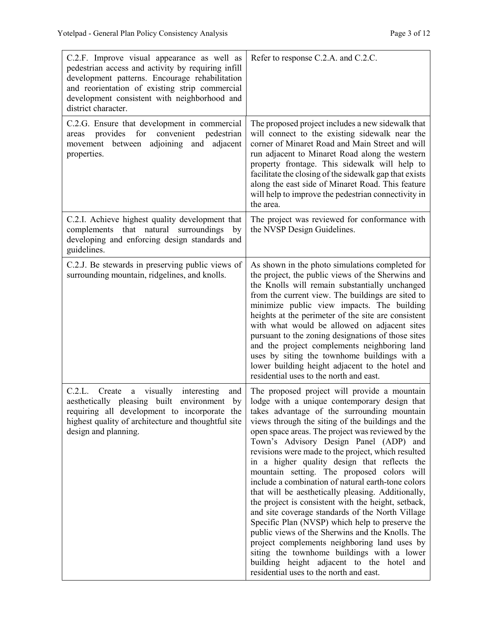| C.2.F. Improve visual appearance as well as<br>pedestrian access and activity by requiring infill<br>development patterns. Encourage rehabilitation<br>and reorientation of existing strip commercial<br>development consistent with neighborhood and<br>district character. | Refer to response C.2.A. and C.2.C.                                                                                                                                                                                                                                                                                                                                                                                                                                                                                                                                                                                                                                                                                                                                                                                                                                                                                                                                     |
|------------------------------------------------------------------------------------------------------------------------------------------------------------------------------------------------------------------------------------------------------------------------------|-------------------------------------------------------------------------------------------------------------------------------------------------------------------------------------------------------------------------------------------------------------------------------------------------------------------------------------------------------------------------------------------------------------------------------------------------------------------------------------------------------------------------------------------------------------------------------------------------------------------------------------------------------------------------------------------------------------------------------------------------------------------------------------------------------------------------------------------------------------------------------------------------------------------------------------------------------------------------|
| C.2.G. Ensure that development in commercial<br>convenient<br>provides<br>for<br>pedestrian<br>areas<br>movement<br>between<br>adjoining and<br>adjacent<br>properties.                                                                                                      | The proposed project includes a new sidewalk that<br>will connect to the existing sidewalk near the<br>corner of Minaret Road and Main Street and will<br>run adjacent to Minaret Road along the western<br>property frontage. This sidewalk will help to<br>facilitate the closing of the sidewalk gap that exists<br>along the east side of Minaret Road. This feature<br>will help to improve the pedestrian connectivity in<br>the area.                                                                                                                                                                                                                                                                                                                                                                                                                                                                                                                            |
| C.2.I. Achieve highest quality development that<br>complements that natural surroundings<br>by<br>developing and enforcing design standards and<br>guidelines.                                                                                                               | The project was reviewed for conformance with<br>the NVSP Design Guidelines.                                                                                                                                                                                                                                                                                                                                                                                                                                                                                                                                                                                                                                                                                                                                                                                                                                                                                            |
| C.2.J. Be stewards in preserving public views of<br>surrounding mountain, ridgelines, and knolls.                                                                                                                                                                            | As shown in the photo simulations completed for<br>the project, the public views of the Sherwins and<br>the Knolls will remain substantially unchanged<br>from the current view. The buildings are sited to<br>minimize public view impacts. The building<br>heights at the perimeter of the site are consistent<br>with what would be allowed on adjacent sites<br>pursuant to the zoning designations of those sites<br>and the project complements neighboring land<br>uses by siting the townhome buildings with a<br>lower building height adjacent to the hotel and<br>residential uses to the north and east.                                                                                                                                                                                                                                                                                                                                                    |
| visually<br>interesting<br>C.2.L.<br>Create<br>and<br>a<br>built<br>environment<br>aesthetically pleasing<br>by<br>requiring all development to incorporate the<br>highest quality of architecture and thoughtful site<br>design and planning.                               | The proposed project will provide a mountain<br>lodge with a unique contemporary design that<br>takes advantage of the surrounding mountain<br>views through the siting of the buildings and the<br>open space areas. The project was reviewed by the<br>Town's Advisory Design Panel (ADP) and<br>revisions were made to the project, which resulted<br>in a higher quality design that reflects the<br>mountain setting. The proposed colors will<br>include a combination of natural earth-tone colors<br>that will be aesthetically pleasing. Additionally,<br>the project is consistent with the height, setback,<br>and site coverage standards of the North Village<br>Specific Plan (NVSP) which help to preserve the<br>public views of the Sherwins and the Knolls. The<br>project complements neighboring land uses by<br>siting the townhome buildings with a lower<br>building height adjacent to the hotel and<br>residential uses to the north and east. |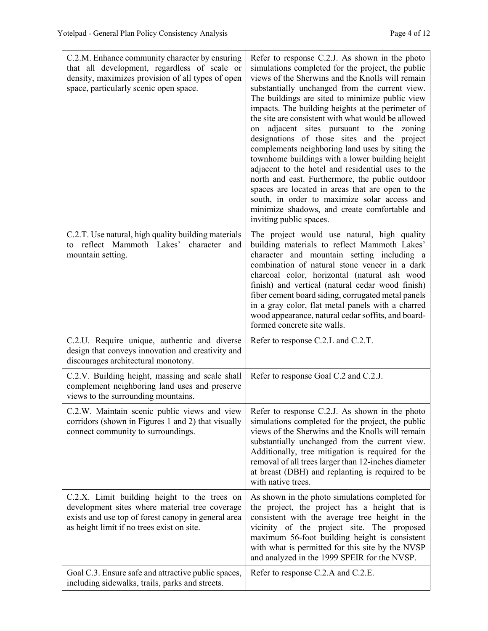| C.2.M. Enhance community character by ensuring<br>that all development, regardless of scale or<br>density, maximizes provision of all types of open<br>space, particularly scenic open space.       | Refer to response C.2.J. As shown in the photo<br>simulations completed for the project, the public<br>views of the Sherwins and the Knolls will remain<br>substantially unchanged from the current view.<br>The buildings are sited to minimize public view<br>impacts. The building heights at the perimeter of<br>the site are consistent with what would be allowed<br>adjacent sites pursuant to the zoning<br>on<br>designations of those sites and the project<br>complements neighboring land uses by siting the<br>townhome buildings with a lower building height<br>adjacent to the hotel and residential uses to the<br>north and east. Furthermore, the public outdoor<br>spaces are located in areas that are open to the<br>south, in order to maximize solar access and<br>minimize shadows, and create comfortable and<br>inviting public spaces. |
|-----------------------------------------------------------------------------------------------------------------------------------------------------------------------------------------------------|--------------------------------------------------------------------------------------------------------------------------------------------------------------------------------------------------------------------------------------------------------------------------------------------------------------------------------------------------------------------------------------------------------------------------------------------------------------------------------------------------------------------------------------------------------------------------------------------------------------------------------------------------------------------------------------------------------------------------------------------------------------------------------------------------------------------------------------------------------------------|
| C.2.T. Use natural, high quality building materials<br>to reflect Mammoth Lakes'<br>character<br>and<br>mountain setting.                                                                           | The project would use natural, high quality<br>building materials to reflect Mammoth Lakes'<br>character and mountain setting including a<br>combination of natural stone veneer in a dark<br>charcoal color, horizontal (natural ash wood<br>finish) and vertical (natural cedar wood finish)<br>fiber cement board siding, corrugated metal panels<br>in a gray color, flat metal panels with a charred<br>wood appearance, natural cedar soffits, and board-<br>formed concrete site walls.                                                                                                                                                                                                                                                                                                                                                                     |
| C.2.U. Require unique, authentic and diverse<br>design that conveys innovation and creativity and<br>discourages architectural monotony.                                                            | Refer to response C.2.L and C.2.T.                                                                                                                                                                                                                                                                                                                                                                                                                                                                                                                                                                                                                                                                                                                                                                                                                                 |
| C.2.V. Building height, massing and scale shall<br>complement neighboring land uses and preserve<br>views to the surrounding mountains.                                                             | Refer to response Goal C.2 and C.2.J.                                                                                                                                                                                                                                                                                                                                                                                                                                                                                                                                                                                                                                                                                                                                                                                                                              |
| C.2.W. Maintain scenic public views and view<br>corridors (shown in Figures 1 and 2) that visually<br>connect community to surroundings.                                                            | Refer to response C.2.J. As shown in the photo<br>simulations completed for the project, the public<br>views of the Sherwins and the Knolls will remain<br>substantially unchanged from the current view.<br>Additionally, tree mitigation is required for the<br>removal of all trees larger than 12-inches diameter<br>at breast (DBH) and replanting is required to be<br>with native trees.                                                                                                                                                                                                                                                                                                                                                                                                                                                                    |
| C.2.X. Limit building height to the trees on<br>development sites where material tree coverage<br>exists and use top of forest canopy in general area<br>as height limit if no trees exist on site. | As shown in the photo simulations completed for<br>the project, the project has a height that is<br>consistent with the average tree height in the<br>vicinity of the project site. The proposed<br>maximum 56-foot building height is consistent<br>with what is permitted for this site by the NVSP<br>and analyzed in the 1999 SPEIR for the NVSP.                                                                                                                                                                                                                                                                                                                                                                                                                                                                                                              |
| Goal C.3. Ensure safe and attractive public spaces,<br>including sidewalks, trails, parks and streets.                                                                                              | Refer to response C.2.A and C.2.E.                                                                                                                                                                                                                                                                                                                                                                                                                                                                                                                                                                                                                                                                                                                                                                                                                                 |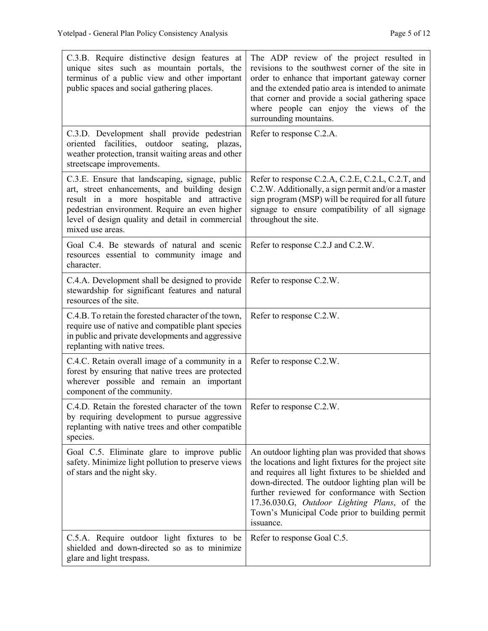| C.3.B. Require distinctive design features at<br>unique sites such as mountain portals, the<br>terminus of a public view and other important<br>public spaces and social gathering places.                                                                               | The ADP review of the project resulted in<br>revisions to the southwest corner of the site in<br>order to enhance that important gateway corner<br>and the extended patio area is intended to animate<br>that corner and provide a social gathering space<br>where people can enjoy the views of the<br>surrounding mountains.                                                     |
|--------------------------------------------------------------------------------------------------------------------------------------------------------------------------------------------------------------------------------------------------------------------------|------------------------------------------------------------------------------------------------------------------------------------------------------------------------------------------------------------------------------------------------------------------------------------------------------------------------------------------------------------------------------------|
| C.3.D. Development shall provide pedestrian<br>oriented facilities, outdoor seating, plazas,<br>weather protection, transit waiting areas and other<br>streetscape improvements.                                                                                         | Refer to response C.2.A.                                                                                                                                                                                                                                                                                                                                                           |
| C.3.E. Ensure that landscaping, signage, public<br>art, street enhancements, and building design<br>result in a more hospitable and attractive<br>pedestrian environment. Require an even higher<br>level of design quality and detail in commercial<br>mixed use areas. | Refer to response C.2.A, C.2.E, C.2.L, C.2.T, and<br>C.2.W. Additionally, a sign permit and/or a master<br>sign program (MSP) will be required for all future<br>signage to ensure compatibility of all signage<br>throughout the site.                                                                                                                                            |
| Goal C.4. Be stewards of natural and scenic<br>resources essential to community image and<br>character.                                                                                                                                                                  | Refer to response C.2.J and C.2.W.                                                                                                                                                                                                                                                                                                                                                 |
| C.4.A. Development shall be designed to provide<br>stewardship for significant features and natural<br>resources of the site.                                                                                                                                            | Refer to response C.2.W.                                                                                                                                                                                                                                                                                                                                                           |
| C.4.B. To retain the forested character of the town,<br>require use of native and compatible plant species<br>in public and private developments and aggressive<br>replanting with native trees.                                                                         | Refer to response C.2.W.                                                                                                                                                                                                                                                                                                                                                           |
| C.4.C. Retain overall image of a community in a<br>forest by ensuring that native trees are protected<br>wherever possible and remain an important<br>component of the community.                                                                                        | Refer to response C.2.W.                                                                                                                                                                                                                                                                                                                                                           |
| C.4.D. Retain the forested character of the town   Refer to response $C.2.W$ .<br>by requiring development to pursue aggressive<br>replanting with native trees and other compatible<br>species.                                                                         |                                                                                                                                                                                                                                                                                                                                                                                    |
| Goal C.5. Eliminate glare to improve public<br>safety. Minimize light pollution to preserve views<br>of stars and the night sky.                                                                                                                                         | An outdoor lighting plan was provided that shows<br>the locations and light fixtures for the project site<br>and requires all light fixtures to be shielded and<br>down-directed. The outdoor lighting plan will be<br>further reviewed for conformance with Section<br>17.36.030.G, Outdoor Lighting Plans, of the<br>Town's Municipal Code prior to building permit<br>issuance. |
| C.5.A. Require outdoor light fixtures to be<br>shielded and down-directed so as to minimize<br>glare and light trespass.                                                                                                                                                 | Refer to response Goal C.5.                                                                                                                                                                                                                                                                                                                                                        |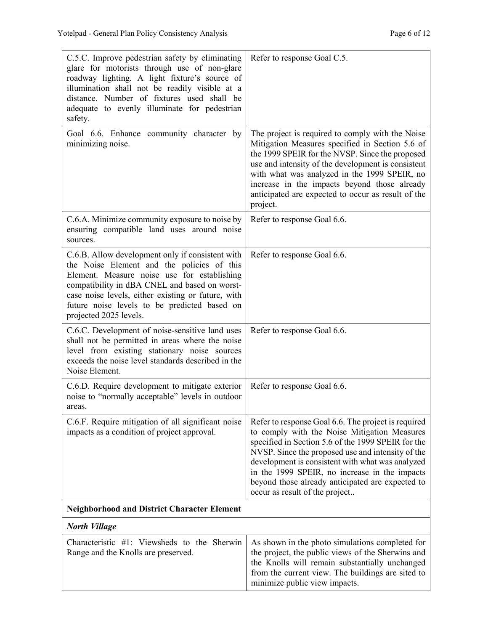| C.5.C. Improve pedestrian safety by eliminating<br>glare for motorists through use of non-glare<br>roadway lighting. A light fixture's source of<br>illumination shall not be readily visible at a<br>distance. Number of fixtures used shall be<br>adequate to evenly illuminate for pedestrian<br>safety.                    | Refer to response Goal C.5.                                                                                                                                                                                                                                                                                                                                                                               |
|--------------------------------------------------------------------------------------------------------------------------------------------------------------------------------------------------------------------------------------------------------------------------------------------------------------------------------|-----------------------------------------------------------------------------------------------------------------------------------------------------------------------------------------------------------------------------------------------------------------------------------------------------------------------------------------------------------------------------------------------------------|
| Goal 6.6. Enhance community character by<br>minimizing noise.                                                                                                                                                                                                                                                                  | The project is required to comply with the Noise<br>Mitigation Measures specified in Section 5.6 of<br>the 1999 SPEIR for the NVSP. Since the proposed<br>use and intensity of the development is consistent<br>with what was analyzed in the 1999 SPEIR, no<br>increase in the impacts beyond those already<br>anticipated are expected to occur as result of the<br>project.                            |
| C.6.A. Minimize community exposure to noise by<br>ensuring compatible land uses around noise<br>sources.                                                                                                                                                                                                                       | Refer to response Goal 6.6.                                                                                                                                                                                                                                                                                                                                                                               |
| C.6.B. Allow development only if consistent with<br>the Noise Element and the policies of this<br>Element. Measure noise use for establishing<br>compatibility in dBA CNEL and based on worst-<br>case noise levels, either existing or future, with<br>future noise levels to be predicted based on<br>projected 2025 levels. | Refer to response Goal 6.6.                                                                                                                                                                                                                                                                                                                                                                               |
| C.6.C. Development of noise-sensitive land uses<br>shall not be permitted in areas where the noise<br>level from existing stationary noise sources<br>exceeds the noise level standards described in the<br>Noise Element.                                                                                                     | Refer to response Goal 6.6.                                                                                                                                                                                                                                                                                                                                                                               |
| C.6.D. Require development to mitigate exterior<br>noise to "normally acceptable" levels in outdoor<br>areas                                                                                                                                                                                                                   | Refer to response Goal 6.6.                                                                                                                                                                                                                                                                                                                                                                               |
| C.6.F. Require mitigation of all significant noise<br>impacts as a condition of project approval.                                                                                                                                                                                                                              | Refer to response Goal 6.6. The project is required<br>to comply with the Noise Mitigation Measures<br>specified in Section 5.6 of the 1999 SPEIR for the<br>NVSP. Since the proposed use and intensity of the<br>development is consistent with what was analyzed<br>in the 1999 SPEIR, no increase in the impacts<br>beyond those already anticipated are expected to<br>occur as result of the project |
| <b>Neighborhood and District Character Element</b>                                                                                                                                                                                                                                                                             |                                                                                                                                                                                                                                                                                                                                                                                                           |
| <b>North Village</b>                                                                                                                                                                                                                                                                                                           |                                                                                                                                                                                                                                                                                                                                                                                                           |
| Characteristic #1: Viewsheds to the Sherwin<br>Range and the Knolls are preserved.                                                                                                                                                                                                                                             | As shown in the photo simulations completed for<br>the project, the public views of the Sherwins and<br>the Knolls will remain substantially unchanged<br>from the current view. The buildings are sited to<br>minimize public view impacts.                                                                                                                                                              |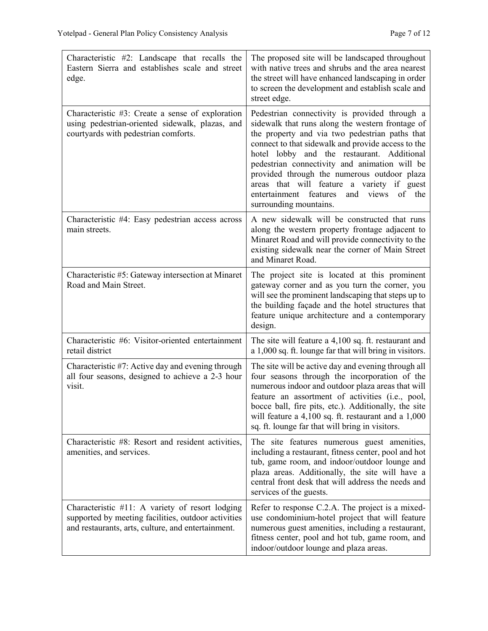| Characteristic #2: Landscape that recalls the<br>Eastern Sierra and establishes scale and street<br>edge.                                                    | The proposed site will be landscaped throughout<br>with native trees and shrubs and the area nearest<br>the street will have enhanced landscaping in order<br>to screen the development and establish scale and<br>street edge.                                                                                                                                                                                                                                                  |
|--------------------------------------------------------------------------------------------------------------------------------------------------------------|----------------------------------------------------------------------------------------------------------------------------------------------------------------------------------------------------------------------------------------------------------------------------------------------------------------------------------------------------------------------------------------------------------------------------------------------------------------------------------|
| Characteristic #3: Create a sense of exploration<br>using pedestrian-oriented sidewalk, plazas, and<br>courtyards with pedestrian comforts.                  | Pedestrian connectivity is provided through a<br>sidewalk that runs along the western frontage of<br>the property and via two pedestrian paths that<br>connect to that sidewalk and provide access to the<br>hotel lobby and the restaurant. Additional<br>pedestrian connectivity and animation will be<br>provided through the numerous outdoor plaza<br>areas that will feature a variety if guest<br>entertainment features<br>and views<br>of the<br>surrounding mountains. |
| Characteristic #4: Easy pedestrian access across<br>main streets.                                                                                            | A new sidewalk will be constructed that runs<br>along the western property frontage adjacent to<br>Minaret Road and will provide connectivity to the<br>existing sidewalk near the corner of Main Street<br>and Minaret Road.                                                                                                                                                                                                                                                    |
| Characteristic #5: Gateway intersection at Minaret<br>Road and Main Street.                                                                                  | The project site is located at this prominent<br>gateway corner and as you turn the corner, you<br>will see the prominent landscaping that steps up to<br>the building façade and the hotel structures that<br>feature unique architecture and a contemporary<br>design.                                                                                                                                                                                                         |
| Characteristic #6: Visitor-oriented entertainment<br>retail district                                                                                         | The site will feature a 4,100 sq. ft. restaurant and<br>a 1,000 sq. ft. lounge far that will bring in visitors.                                                                                                                                                                                                                                                                                                                                                                  |
| Characteristic #7: Active day and evening through<br>all four seasons, designed to achieve a 2-3 hour<br>visit.                                              | The site will be active day and evening through all<br>four seasons through the incorporation of the<br>numerous indoor and outdoor plaza areas that will<br>feature an assortment of activities (i.e., pool,<br>bocce ball, fire pits, etc.). Additionally, the site<br>will feature a $4,100$ sq. ft. restaurant and a $1,000$<br>sq. ft. lounge far that will bring in visitors.                                                                                              |
| Characteristic #8: Resort and resident activities,<br>amenities, and services.                                                                               | The site features numerous guest amenities,<br>including a restaurant, fitness center, pool and hot<br>tub, game room, and indoor/outdoor lounge and<br>plaza areas. Additionally, the site will have a<br>central front desk that will address the needs and<br>services of the guests.                                                                                                                                                                                         |
| Characteristic #11: A variety of resort lodging<br>supported by meeting facilities, outdoor activities<br>and restaurants, arts, culture, and entertainment. | Refer to response C.2.A. The project is a mixed-<br>use condominium-hotel project that will feature<br>numerous guest amenities, including a restaurant,<br>fitness center, pool and hot tub, game room, and<br>indoor/outdoor lounge and plaza areas.                                                                                                                                                                                                                           |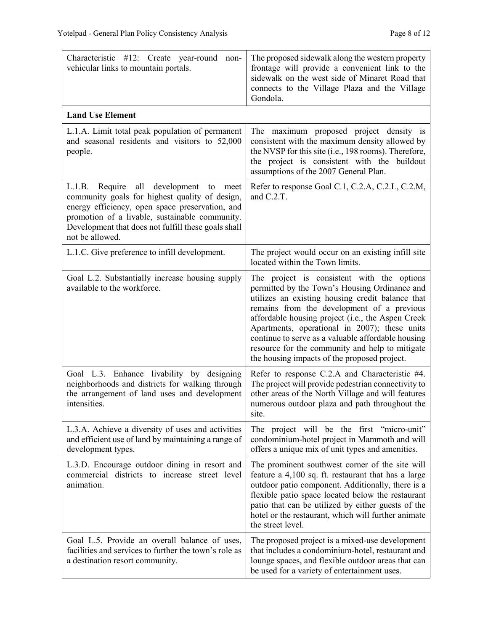| Characteristic #12: Create year-round non-<br>vehicular links to mountain portals.                                                                                                                                                                                               | The proposed sidewalk along the western property<br>frontage will provide a convenient link to the<br>sidewalk on the west side of Minaret Road that<br>connects to the Village Plaza and the Village<br>Gondola.                                                                                                                                                                                                                                            |
|----------------------------------------------------------------------------------------------------------------------------------------------------------------------------------------------------------------------------------------------------------------------------------|--------------------------------------------------------------------------------------------------------------------------------------------------------------------------------------------------------------------------------------------------------------------------------------------------------------------------------------------------------------------------------------------------------------------------------------------------------------|
| <b>Land Use Element</b>                                                                                                                                                                                                                                                          |                                                                                                                                                                                                                                                                                                                                                                                                                                                              |
| L.1.A. Limit total peak population of permanent<br>and seasonal residents and visitors to 52,000<br>people.                                                                                                                                                                      | The maximum proposed project density is<br>consistent with the maximum density allowed by<br>the NVSP for this site (i.e., 198 rooms). Therefore,<br>the project is consistent with the buildout<br>assumptions of the 2007 General Plan.                                                                                                                                                                                                                    |
| L.1.B. Require all<br>development<br>to<br>meet<br>community goals for highest quality of design,<br>energy efficiency, open space preservation, and<br>promotion of a livable, sustainable community.<br>Development that does not fulfill these goals shall<br>not be allowed. | Refer to response Goal C.1, C.2.A, C.2.L, C.2.M,<br>and C.2.T.                                                                                                                                                                                                                                                                                                                                                                                               |
| L.1.C. Give preference to infill development.                                                                                                                                                                                                                                    | The project would occur on an existing infill site<br>located within the Town limits.                                                                                                                                                                                                                                                                                                                                                                        |
| Goal L.2. Substantially increase housing supply<br>available to the workforce.                                                                                                                                                                                                   | The project is consistent with the options<br>permitted by the Town's Housing Ordinance and<br>utilizes an existing housing credit balance that<br>remains from the development of a previous<br>affordable housing project (i.e., the Aspen Creek<br>Apartments, operational in 2007); these units<br>continue to serve as a valuable affordable housing<br>resource for the community and help to mitigate<br>the housing impacts of the proposed project. |
| Goal L.3. Enhance livability by designing<br>neighborhoods and districts for walking through<br>the arrangement of land uses and development<br>intensities.                                                                                                                     | Refer to response C.2.A and Characteristic #4.<br>The project will provide pedestrian connectivity to<br>other areas of the North Village and will features<br>numerous outdoor plaza and path throughout the<br>site.                                                                                                                                                                                                                                       |
| L.3.A. Achieve a diversity of uses and activities<br>and efficient use of land by maintaining a range of<br>development types.                                                                                                                                                   | The project will be the first "micro-unit"<br>condominium-hotel project in Mammoth and will<br>offers a unique mix of unit types and amenities.                                                                                                                                                                                                                                                                                                              |
| L.3.D. Encourage outdoor dining in resort and<br>commercial districts to increase street level<br>animation.                                                                                                                                                                     | The prominent southwest corner of the site will<br>feature a 4,100 sq. ft. restaurant that has a large<br>outdoor patio component. Additionally, there is a<br>flexible patio space located below the restaurant<br>patio that can be utilized by either guests of the<br>hotel or the restaurant, which will further animate<br>the street level.                                                                                                           |
| Goal L.5. Provide an overall balance of uses,<br>facilities and services to further the town's role as<br>a destination resort community.                                                                                                                                        | The proposed project is a mixed-use development<br>that includes a condominium-hotel, restaurant and<br>lounge spaces, and flexible outdoor areas that can<br>be used for a variety of entertainment uses.                                                                                                                                                                                                                                                   |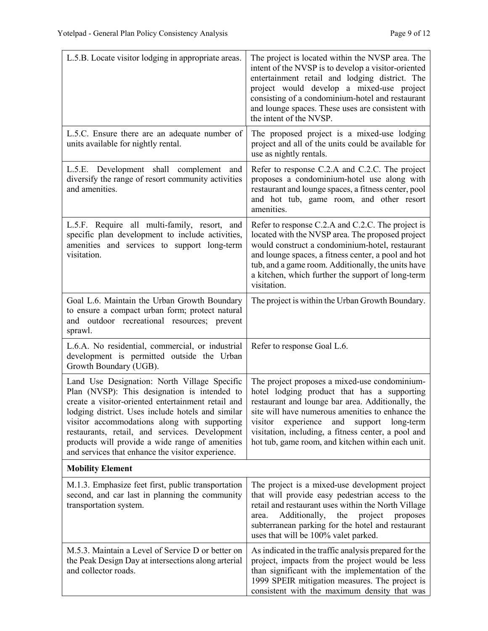| L.5.B. Locate visitor lodging in appropriate areas.                                                                                                                                                                                                                                                                                                                                                               | The project is located within the NVSP area. The<br>intent of the NVSP is to develop a visitor-oriented<br>entertainment retail and lodging district. The<br>project would develop a mixed-use project<br>consisting of a condominium-hotel and restaurant<br>and lounge spaces. These uses are consistent with<br>the intent of the NVSP.                                |
|-------------------------------------------------------------------------------------------------------------------------------------------------------------------------------------------------------------------------------------------------------------------------------------------------------------------------------------------------------------------------------------------------------------------|---------------------------------------------------------------------------------------------------------------------------------------------------------------------------------------------------------------------------------------------------------------------------------------------------------------------------------------------------------------------------|
| L.5.C. Ensure there are an adequate number of<br>units available for nightly rental.                                                                                                                                                                                                                                                                                                                              | The proposed project is a mixed-use lodging<br>project and all of the units could be available for<br>use as nightly rentals.                                                                                                                                                                                                                                             |
| L.5.E. Development shall complement<br>and<br>diversify the range of resort community activities<br>and amenities.                                                                                                                                                                                                                                                                                                | Refer to response C.2.A and C.2.C. The project<br>proposes a condominium-hotel use along with<br>restaurant and lounge spaces, a fitness center, pool<br>and hot tub, game room, and other resort<br>amenities.                                                                                                                                                           |
| L.5.F. Require all multi-family, resort, and<br>specific plan development to include activities,<br>amenities and services to support long-term<br>visitation.                                                                                                                                                                                                                                                    | Refer to response C.2.A and C.2.C. The project is<br>located with the NVSP area. The proposed project<br>would construct a condominium-hotel, restaurant<br>and lounge spaces, a fitness center, a pool and hot<br>tub, and a game room. Additionally, the units have<br>a kitchen, which further the support of long-term<br>visitation.                                 |
| Goal L.6. Maintain the Urban Growth Boundary<br>to ensure a compact urban form; protect natural<br>and outdoor recreational resources; prevent<br>sprawl.                                                                                                                                                                                                                                                         | The project is within the Urban Growth Boundary.                                                                                                                                                                                                                                                                                                                          |
| L.6.A. No residential, commercial, or industrial<br>development is permitted outside the Urban<br>Growth Boundary (UGB).                                                                                                                                                                                                                                                                                          | Refer to response Goal L.6.                                                                                                                                                                                                                                                                                                                                               |
| Land Use Designation: North Village Specific<br>Plan (NVSP): This designation is intended to<br>create a visitor-oriented entertainment retail and<br>lodging district. Uses include hotels and similar<br>visitor accommodations along with supporting<br>restaurants, retail, and services. Development<br>products will provide a wide range of amenities<br>and services that enhance the visitor experience. | The project proposes a mixed-use condominium-<br>hotel lodging product that has a supporting<br>restaurant and lounge bar area. Additionally, the<br>site will have numerous amenities to enhance the<br>visitor<br>experience<br>and<br>support<br>long-term<br>visitation, including, a fitness center, a pool and<br>hot tub, game room, and kitchen within each unit. |
| <b>Mobility Element</b>                                                                                                                                                                                                                                                                                                                                                                                           |                                                                                                                                                                                                                                                                                                                                                                           |
| M.1.3. Emphasize feet first, public transportation<br>second, and car last in planning the community<br>transportation system.                                                                                                                                                                                                                                                                                    | The project is a mixed-use development project<br>that will provide easy pedestrian access to the<br>retail and restaurant uses within the North Village<br>Additionally,<br>the<br>project<br>proposes<br>area.<br>subterranean parking for the hotel and restaurant<br>uses that will be 100% valet parked.                                                             |
| M.5.3. Maintain a Level of Service D or better on<br>the Peak Design Day at intersections along arterial<br>and collector roads.                                                                                                                                                                                                                                                                                  | As indicated in the traffic analysis prepared for the<br>project, impacts from the project would be less<br>than significant with the implementation of the<br>1999 SPEIR mitigation measures. The project is<br>consistent with the maximum density that was                                                                                                             |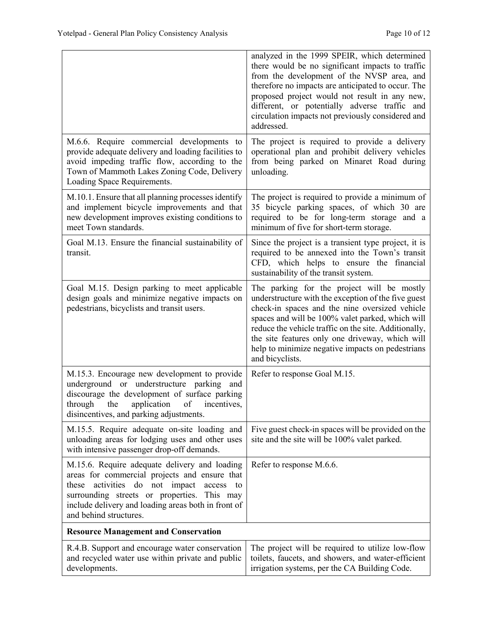|                                                                                                                                                                                                                                                                                        | analyzed in the 1999 SPEIR, which determined<br>there would be no significant impacts to traffic<br>from the development of the NVSP area, and<br>therefore no impacts are anticipated to occur. The<br>proposed project would not result in any new,<br>different, or potentially adverse traffic and<br>circulation impacts not previously considered and<br>addressed.                  |
|----------------------------------------------------------------------------------------------------------------------------------------------------------------------------------------------------------------------------------------------------------------------------------------|--------------------------------------------------------------------------------------------------------------------------------------------------------------------------------------------------------------------------------------------------------------------------------------------------------------------------------------------------------------------------------------------|
| M.6.6. Require commercial developments to<br>provide adequate delivery and loading facilities to<br>avoid impeding traffic flow, according to the<br>Town of Mammoth Lakes Zoning Code, Delivery<br>Loading Space Requirements.                                                        | The project is required to provide a delivery<br>operational plan and prohibit delivery vehicles<br>from being parked on Minaret Road during<br>unloading.                                                                                                                                                                                                                                 |
| M.10.1. Ensure that all planning processes identify<br>and implement bicycle improvements and that<br>new development improves existing conditions to<br>meet Town standards.                                                                                                          | The project is required to provide a minimum of<br>35 bicycle parking spaces, of which 30 are<br>required to be for long-term storage and a<br>minimum of five for short-term storage.                                                                                                                                                                                                     |
| Goal M.13. Ensure the financial sustainability of<br>transit.                                                                                                                                                                                                                          | Since the project is a transient type project, it is<br>required to be annexed into the Town's transit<br>CFD, which helps to ensure the financial<br>sustainability of the transit system.                                                                                                                                                                                                |
| Goal M.15. Design parking to meet applicable<br>design goals and minimize negative impacts on<br>pedestrians, bicyclists and transit users.                                                                                                                                            | The parking for the project will be mostly<br>understructure with the exception of the five guest<br>check-in spaces and the nine oversized vehicle<br>spaces and will be 100% valet parked, which will<br>reduce the vehicle traffic on the site. Additionally,<br>the site features only one driveway, which will<br>help to minimize negative impacts on pedestrians<br>and bicyclists. |
| M.15.3. Encourage new development to provide<br>underground or understructure parking and<br>discourage the development of surface parking<br>the application of incentives,<br>through<br>disincentives, and parking adjustments.                                                     | Refer to response Goal M.15.                                                                                                                                                                                                                                                                                                                                                               |
| M.15.5. Require adequate on-site loading and<br>unloading areas for lodging uses and other uses<br>with intensive passenger drop-off demands.                                                                                                                                          | Five guest check-in spaces will be provided on the<br>site and the site will be 100% valet parked.                                                                                                                                                                                                                                                                                         |
| M.15.6. Require adequate delivery and loading<br>areas for commercial projects and ensure that<br>activities<br>do not impact<br>these<br>access<br>to<br>surrounding streets or properties. This may<br>include delivery and loading areas both in front of<br>and behind structures. | Refer to response M.6.6.                                                                                                                                                                                                                                                                                                                                                                   |
| <b>Resource Management and Conservation</b>                                                                                                                                                                                                                                            |                                                                                                                                                                                                                                                                                                                                                                                            |
| R.4.B. Support and encourage water conservation<br>and recycled water use within private and public<br>developments.                                                                                                                                                                   | The project will be required to utilize low-flow<br>toilets, faucets, and showers, and water-efficient<br>irrigation systems, per the CA Building Code.                                                                                                                                                                                                                                    |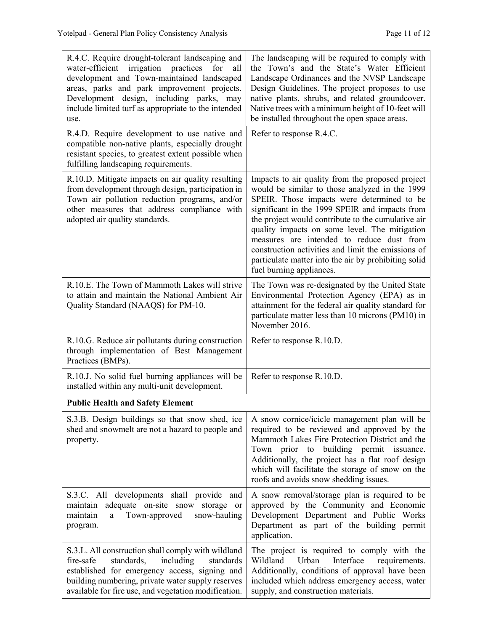| R.4.C. Require drought-tolerant landscaping and<br>water-efficient irrigation practices<br>for<br>all<br>development and Town-maintained landscaped<br>areas, parks and park improvement projects.<br>Development design, including parks, may<br>include limited turf as appropriate to the intended<br>use. | The landscaping will be required to comply with<br>the Town's and the State's Water Efficient<br>Landscape Ordinances and the NVSP Landscape<br>Design Guidelines. The project proposes to use<br>native plants, shrubs, and related groundcover.<br>Native trees with a minimum height of 10-feet will<br>be installed throughout the open space areas.                                                                                                                                         |
|---------------------------------------------------------------------------------------------------------------------------------------------------------------------------------------------------------------------------------------------------------------------------------------------------------------|--------------------------------------------------------------------------------------------------------------------------------------------------------------------------------------------------------------------------------------------------------------------------------------------------------------------------------------------------------------------------------------------------------------------------------------------------------------------------------------------------|
| R.4.D. Require development to use native and<br>compatible non-native plants, especially drought<br>resistant species, to greatest extent possible when<br>fulfilling landscaping requirements.                                                                                                               | Refer to response R.4.C.                                                                                                                                                                                                                                                                                                                                                                                                                                                                         |
| R.10.D. Mitigate impacts on air quality resulting<br>from development through design, participation in<br>Town air pollution reduction programs, and/or<br>other measures that address compliance with<br>adopted air quality standards.                                                                      | Impacts to air quality from the proposed project<br>would be similar to those analyzed in the 1999<br>SPEIR. Those impacts were determined to be<br>significant in the 1999 SPEIR and impacts from<br>the project would contribute to the cumulative air<br>quality impacts on some level. The mitigation<br>measures are intended to reduce dust from<br>construction activities and limit the emissions of<br>particulate matter into the air by prohibiting solid<br>fuel burning appliances. |
| R.10.E. The Town of Mammoth Lakes will strive<br>to attain and maintain the National Ambient Air<br>Quality Standard (NAAQS) for PM-10.                                                                                                                                                                       | The Town was re-designated by the United State<br>Environmental Protection Agency (EPA) as in<br>attainment for the federal air quality standard for<br>particulate matter less than 10 microns (PM10) in<br>November 2016.                                                                                                                                                                                                                                                                      |
| R.10.G. Reduce air pollutants during construction<br>through implementation of Best Management<br>Practices (BMPs).                                                                                                                                                                                           | Refer to response R.10.D.                                                                                                                                                                                                                                                                                                                                                                                                                                                                        |
| R.10.J. No solid fuel burning appliances will be<br>installed within any multi-unit development.                                                                                                                                                                                                              | Refer to response R.10.D.                                                                                                                                                                                                                                                                                                                                                                                                                                                                        |
| <b>Public Health and Safety Element</b>                                                                                                                                                                                                                                                                       |                                                                                                                                                                                                                                                                                                                                                                                                                                                                                                  |
| S.3.B. Design buildings so that snow shed, ice<br>shed and snowmelt are not a hazard to people and<br>property.                                                                                                                                                                                               | A snow cornice/icicle management plan will be<br>required to be reviewed and approved by the<br>Mammoth Lakes Fire Protection District and the<br>Town prior to building permit issuance.<br>Additionally, the project has a flat roof design<br>which will facilitate the storage of snow on the<br>roofs and avoids snow shedding issues.                                                                                                                                                      |
| S.3.C. All developments shall provide and<br>adequate on-site snow<br>maintain<br>storage<br>or<br>Town-approved<br>snow-hauling<br>maintain<br>a<br>program.                                                                                                                                                 | A snow removal/storage plan is required to be<br>approved by the Community and Economic<br>Development Department and Public Works<br>Department as part of the building permit<br>application.                                                                                                                                                                                                                                                                                                  |
| S.3.L. All construction shall comply with wildland<br>including<br>standards,<br>fire-safe<br>standards<br>established for emergency access, signing and<br>building numbering, private water supply reserves<br>available for fire use, and vegetation modification.                                         | The project is required to comply with the<br>Wildland<br>Urban<br>Interface<br>requirements.<br>Additionally, conditions of approval have been<br>included which address emergency access, water<br>supply, and construction materials.                                                                                                                                                                                                                                                         |